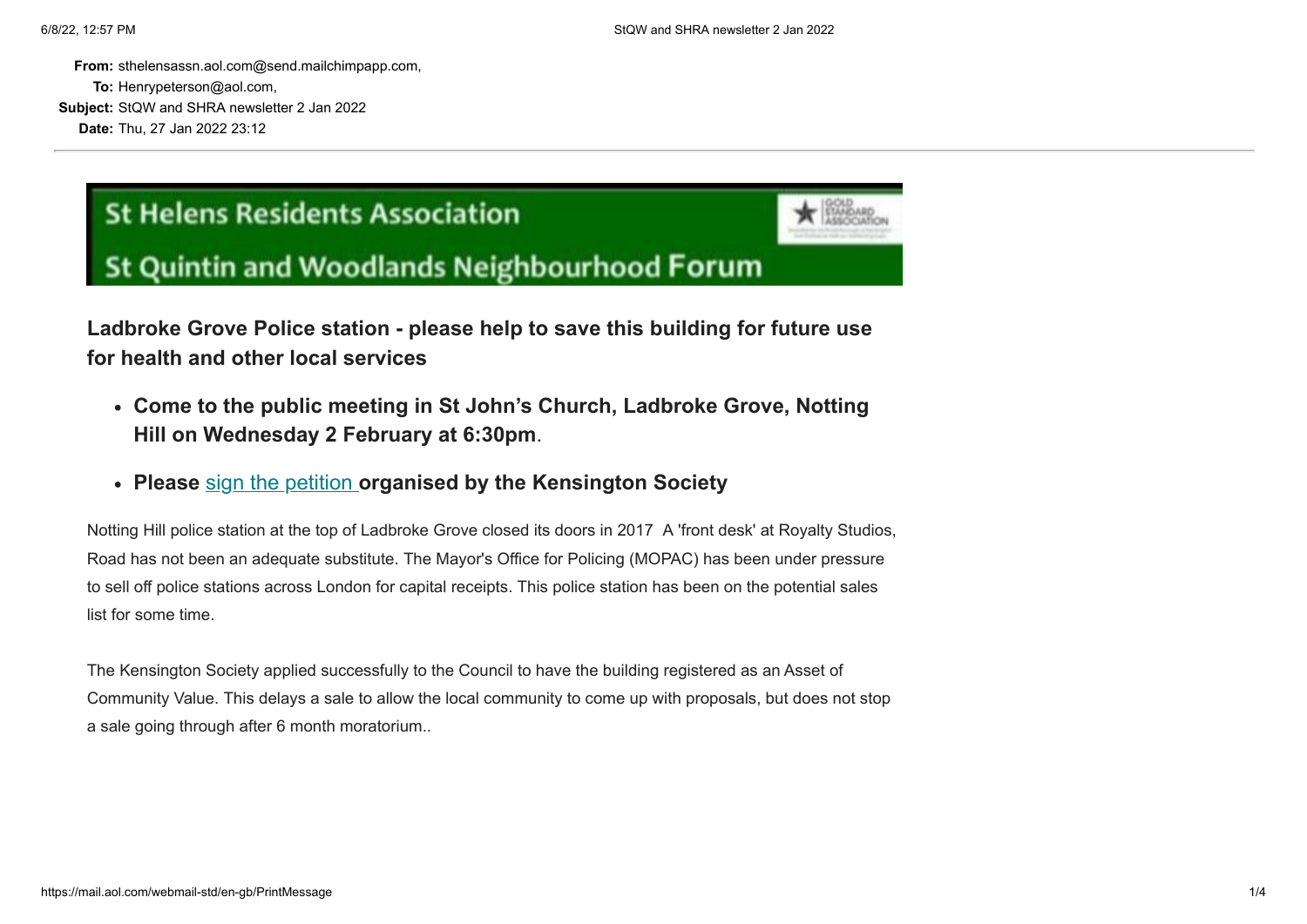**From:** sthelensassn.aol.com@send.mailchimpapp.com, **To:** Henrypeterson@aol.com, **Subject:** StQW and SHRA newsletter 2 Jan 2022 **Date:** Thu, 27 Jan 2022 23:12

## **St Helens Residents Association**



## **St Quintin and Woodlands Neighbourhood Forum**

**Ladbroke Grove Police station - please help to save this building for future use for health and other local services**

- **Come to the public meeting in St John's Church, Ladbroke Grove, Notting Hill on Wednesday 2 February at 6:30pm**.
- **Please** [sign the petition](https://sthelensresidents.us8.list-manage.com/track/click?u=c9b2cf8a83a98f3a41a3651c9&id=b317546d83&e=e04a104173) **organised by the Kensington Society**

Notting Hill police station at the top of Ladbroke Grove closed its doors in 2017 A 'front desk' at Royalty Studios, Road has not been an adequate substitute. The Mayor's Office for Policing (MOPAC) has been under pressure to sell off police stations across London for capital receipts. This police station has been on the potential sales list for some time.

The Kensington Society applied successfully to the Council to have the building registered as an Asset of Community Value. This delays a sale to allow the local community to come up with proposals, but does not stop a sale going through after 6 month moratorium..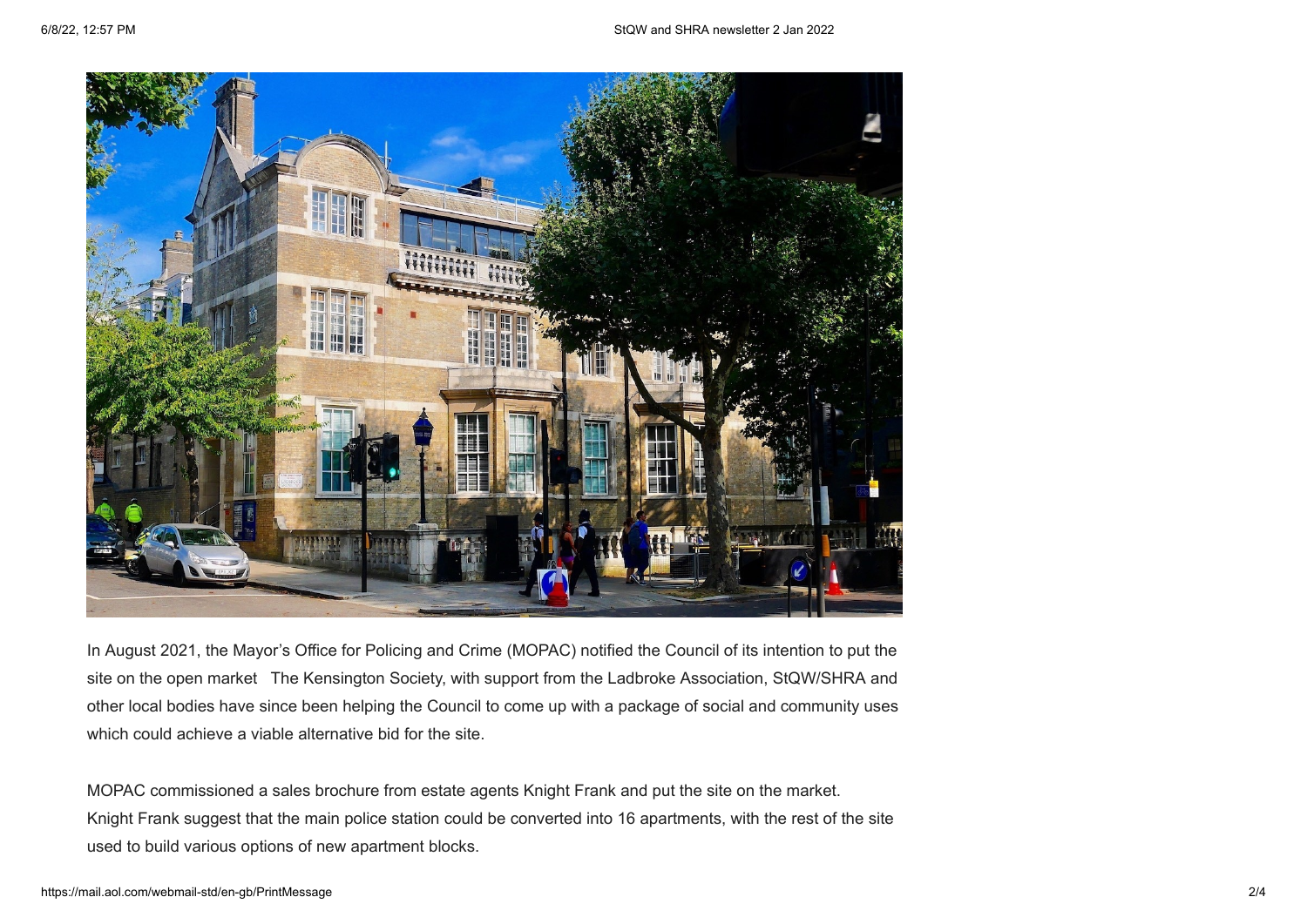

In August 2021, the Mayor's Office for Policing and Crime (MOPAC) notified the Council of its intention to put the site on the open market The Kensington Society, with support from the Ladbroke Association, StQW/SHRA and other local bodies have since been helping the Council to come up with a package of social and community uses which could achieve a viable alternative bid for the site.

MOPAC commissioned a sales brochure from estate agents Knight Frank and put the site on the market. Knight Frank suggest that the main police station could be converted into 16 apartments, with the rest of the site used to build various options of new apartment blocks.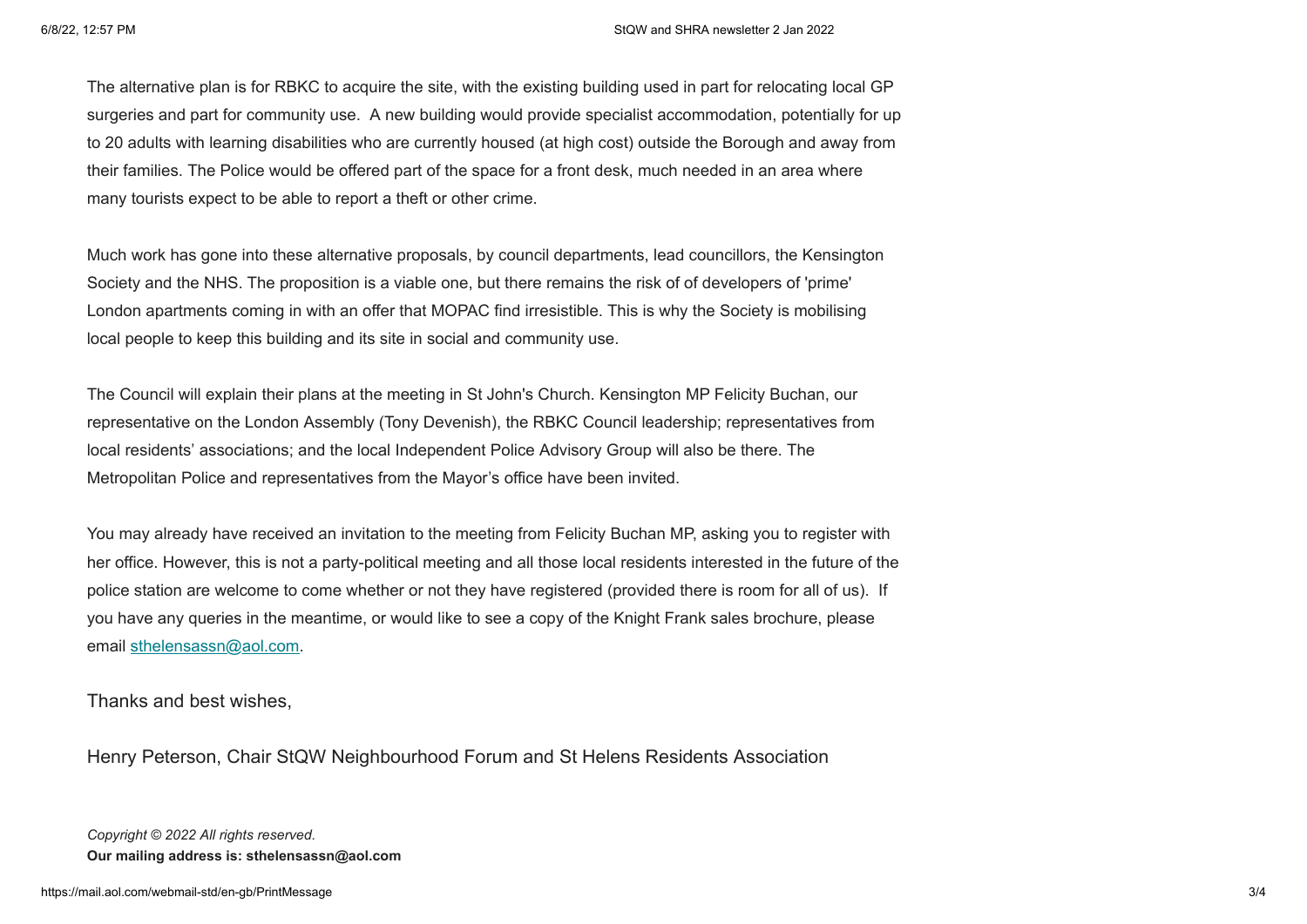The alternative plan is for RBKC to acquire the site, with the existing building used in part for relocating local GP surgeries and part for community use. A new building would provide specialist accommodation, potentially for up to 20 adults with learning disabilities who are currently housed (at high cost) outside the Borough and away from their families. The Police would be offered part of the space for a front desk, much needed in an area where many tourists expect to be able to report a theft or other crime.

Much work has gone into these alternative proposals, by council departments, lead councillors, the Kensington Society and the NHS. The proposition is a viable one, but there remains the risk of of developers of 'prime' London apartments coming in with an offer that MOPAC find irresistible. This is why the Society is mobilising local people to keep this building and its site in social and community use.

The Council will explain their plans at the meeting in St John's Church. Kensington MP Felicity Buchan, our representative on the London Assembly (Tony Devenish), the RBKC Council leadership; representatives from local residents' associations; and the local Independent Police Advisory Group will also be there. The Metropolitan Police and representatives from the Mayor's office have been invited.

You may already have received an invitation to the meeting from Felicity Buchan MP, asking you to register with her office. However, this is not a party-political meeting and all those local residents interested in the future of the police station are welcome to come whether or not they have registered (provided there is room for all of us). If you have any queries in the meantime, or would like to see a copy of the Knight Frank sales brochure, please email [sthelensassn@aol.com.](mailto:sthelensassn@aol.com)

Thanks and best wishes,

Henry Peterson, Chair StQW Neighbourhood Forum and St Helens Residents Association

*Copyright © 2022 All rights reserved.* **Our mailing address is: sthelensassn@aol.com**